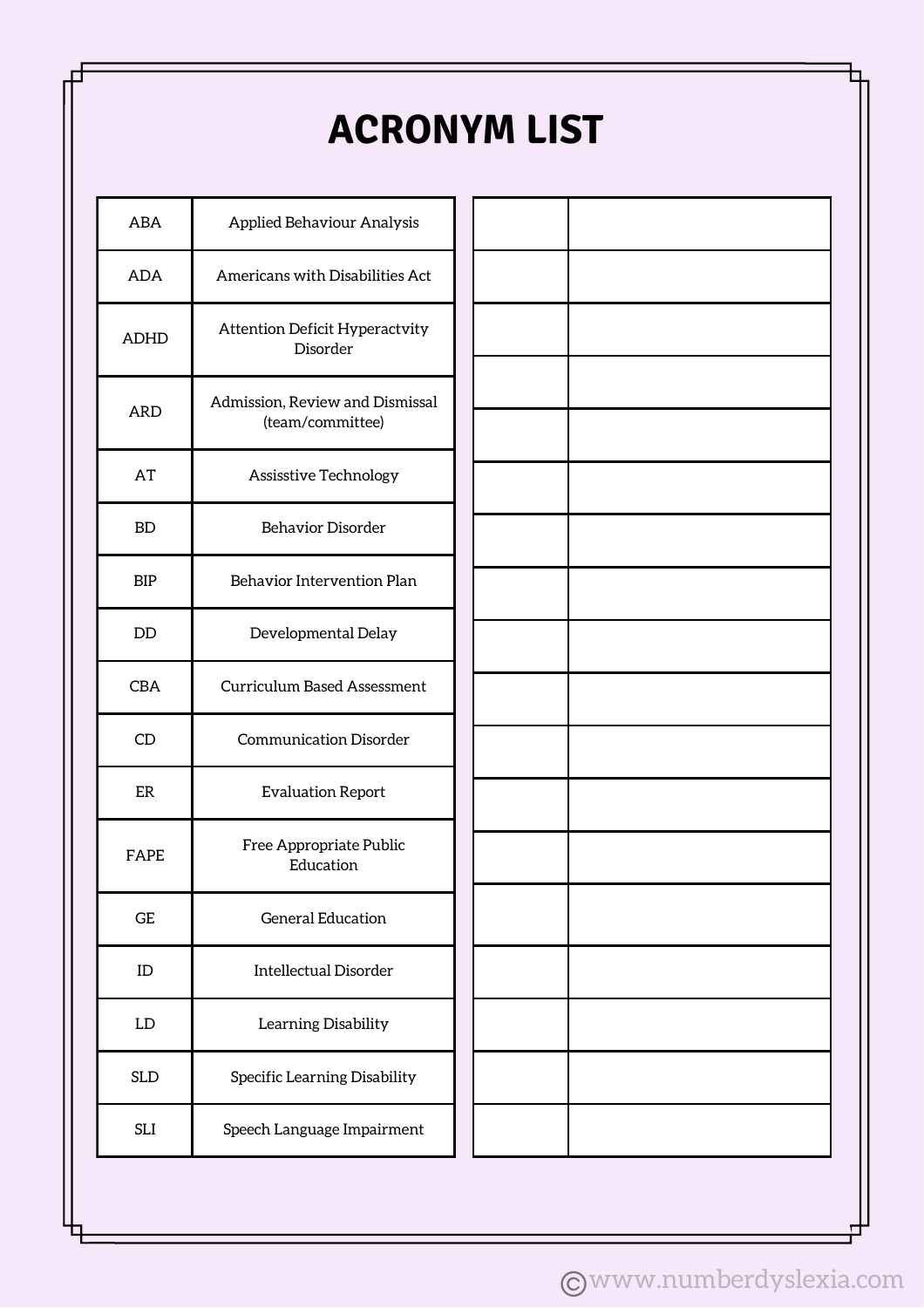### **ACRONYM LIST**

| ABA         | <b>Applied Behaviour Analysis</b>                   |  |  |  |  |  |  |  |  |
|-------------|-----------------------------------------------------|--|--|--|--|--|--|--|--|
| <b>ADA</b>  | Americans with Disabilities Act                     |  |  |  |  |  |  |  |  |
| <b>ADHD</b> | <b>Attention Deficit Hyperactvity</b><br>Disorder   |  |  |  |  |  |  |  |  |
| <b>ARD</b>  | Admission, Review and Dismissal<br>(team/committee) |  |  |  |  |  |  |  |  |
| AT          | Assisstive Technology                               |  |  |  |  |  |  |  |  |
| BD          | <b>Behavior Disorder</b>                            |  |  |  |  |  |  |  |  |
| <b>BIP</b>  | Behavior Intervention Plan                          |  |  |  |  |  |  |  |  |
| <b>DD</b>   | Developmental Delay                                 |  |  |  |  |  |  |  |  |
| <b>CBA</b>  | Curriculum Based Assessment                         |  |  |  |  |  |  |  |  |
| CD          | <b>Communication Disorder</b>                       |  |  |  |  |  |  |  |  |
| ER          | <b>Evaluation Report</b>                            |  |  |  |  |  |  |  |  |
| FAPE        | Free Appropriate Public<br>Education                |  |  |  |  |  |  |  |  |
| GE          | <b>General Education</b>                            |  |  |  |  |  |  |  |  |
| ID          | <b>Intellectual Disorder</b>                        |  |  |  |  |  |  |  |  |
| LD          | Learning Disability                                 |  |  |  |  |  |  |  |  |
| SLD         | Specific Learning Disability                        |  |  |  |  |  |  |  |  |
| SLI         | Speech Language Impairment                          |  |  |  |  |  |  |  |  |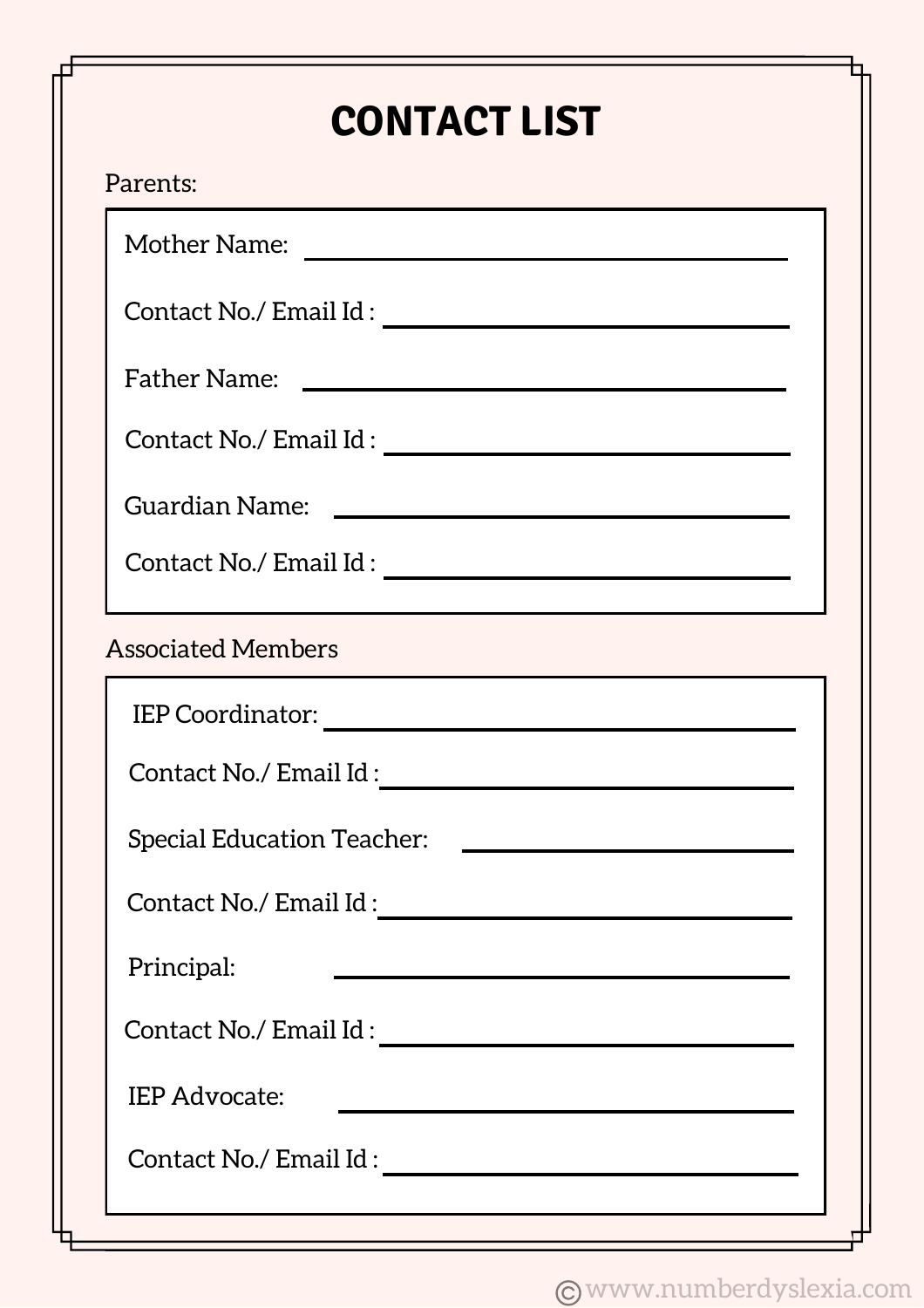# **CONTACT LIST**

Mother Name:

Contact No./ Email Id :

Father Name:

Contact No./ Email Id :

Guardian Name:

Contact No./ Email Id :

#### Associated Members

| <b>IEP Coordinator:</b>           |  |  |  |  |  |  |
|-----------------------------------|--|--|--|--|--|--|
| Contact No./ Email Id:            |  |  |  |  |  |  |
| <b>Special Education Teacher:</b> |  |  |  |  |  |  |
| Contact No./ Email Id:            |  |  |  |  |  |  |
| Principal:                        |  |  |  |  |  |  |
| Contact No./ Email Id :           |  |  |  |  |  |  |
| <b>IEP Advocate:</b>              |  |  |  |  |  |  |
| Contact No./ Email Id:            |  |  |  |  |  |  |
|                                   |  |  |  |  |  |  |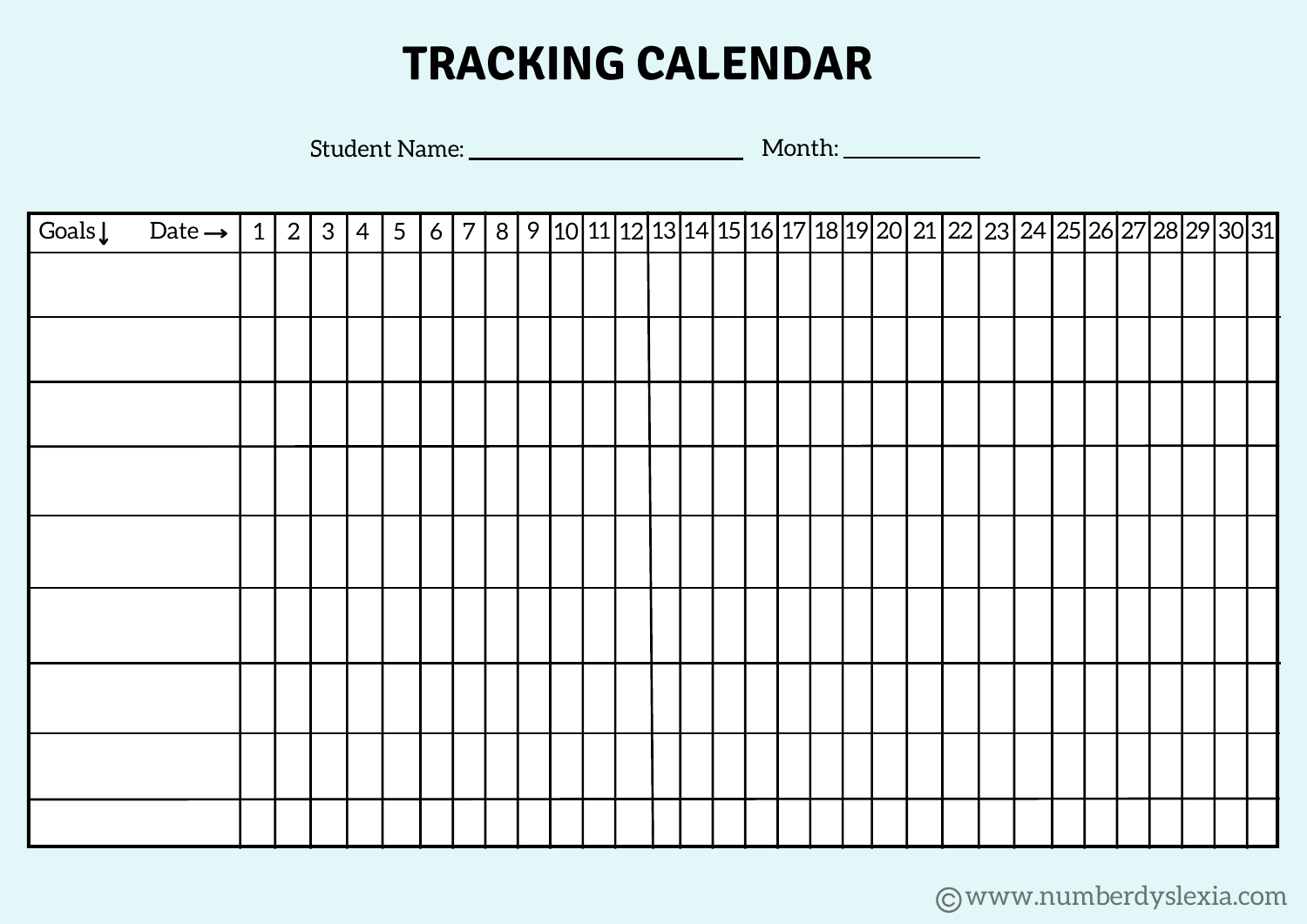# **TRACKING CALENDAR**

Student Name: Month:

| Goals↓ Date →   1   2   3   4   5   6   7   8   9  10 11 12 13 14 15 16 17 18 19 20 21 22 23 24 25 26 27 28 29 30 31 |  |  |  |  |  |  |  |  |  |  |  |  |  |  |  |  |
|----------------------------------------------------------------------------------------------------------------------|--|--|--|--|--|--|--|--|--|--|--|--|--|--|--|--|
|                                                                                                                      |  |  |  |  |  |  |  |  |  |  |  |  |  |  |  |  |
|                                                                                                                      |  |  |  |  |  |  |  |  |  |  |  |  |  |  |  |  |
|                                                                                                                      |  |  |  |  |  |  |  |  |  |  |  |  |  |  |  |  |
|                                                                                                                      |  |  |  |  |  |  |  |  |  |  |  |  |  |  |  |  |
|                                                                                                                      |  |  |  |  |  |  |  |  |  |  |  |  |  |  |  |  |
|                                                                                                                      |  |  |  |  |  |  |  |  |  |  |  |  |  |  |  |  |
|                                                                                                                      |  |  |  |  |  |  |  |  |  |  |  |  |  |  |  |  |
|                                                                                                                      |  |  |  |  |  |  |  |  |  |  |  |  |  |  |  |  |
|                                                                                                                      |  |  |  |  |  |  |  |  |  |  |  |  |  |  |  |  |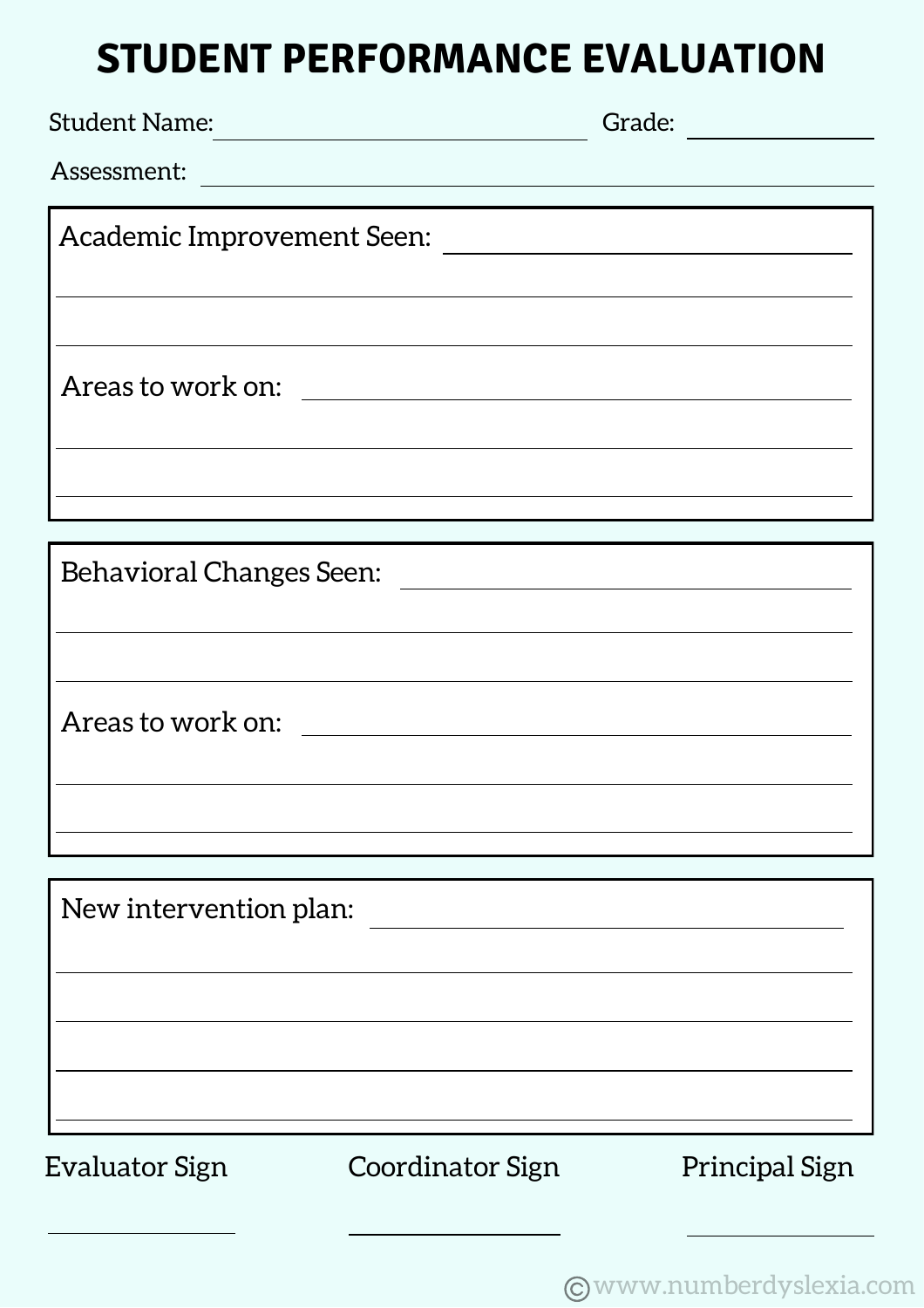#### **STUDENT PERFORMANCE EVALUATION**

| <b>Student Name:</b>            | Grade:                                                      |
|---------------------------------|-------------------------------------------------------------|
| Assessment:                     |                                                             |
|                                 |                                                             |
| Academic Improvement Seen:      |                                                             |
|                                 |                                                             |
|                                 |                                                             |
| Areas to work on:               |                                                             |
|                                 |                                                             |
|                                 |                                                             |
|                                 | <u> 1989 - Johann Stoff, amerikansk politiker (d. 1989)</u> |
|                                 |                                                             |
| <b>Behavioral Changes Seen:</b> | <u> 1980 - Andrea Andrew Maria (h. 1980).</u>               |
|                                 |                                                             |
|                                 |                                                             |
|                                 |                                                             |
|                                 |                                                             |
|                                 |                                                             |
|                                 |                                                             |
|                                 |                                                             |
| New intervention plan:          |                                                             |
|                                 |                                                             |
|                                 |                                                             |
|                                 |                                                             |
|                                 |                                                             |

Evaluator Sign Coordinator Sign Principal Sign